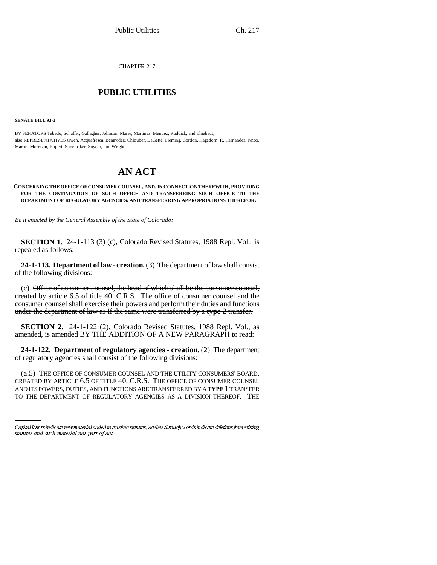CHAPTER 217

# \_\_\_\_\_\_\_\_\_\_\_\_\_\_\_ **PUBLIC UTILITIES** \_\_\_\_\_\_\_\_\_\_\_\_\_\_\_

**SENATE BILL 93-3**

BY SENATORS Tebedo, Schaffer, Gallagher, Johnson, Mares, Martinez, Mendez, Ruddick, and Thiebaut; also REPRESENTATIVES Owen, Acquafresca, Benavidez, Chlouber, DeGette, Fleming, Gordon, Hagedorn, R. Hernandez, Knox, Martin, Morrison, Rupert, Shoemaker, Snyder, and Wright.

# **AN ACT**

#### **CONCERNING THE OFFICE OF CONSUMER COUNSEL, AND, IN CONNECTION THEREWITH, PROVIDING FOR THE CONTINUATION OF SUCH OFFICE AND TRANSFERRING SUCH OFFICE TO THE DEPARTMENT OF REGULATORY AGENCIES, AND TRANSFERRING APPROPRIATIONS THEREFOR.**

*Be it enacted by the General Assembly of the State of Colorado:*

**SECTION 1.** 24-1-113 (3) (c), Colorado Revised Statutes, 1988 Repl. Vol., is repealed as follows:

**24-1-113. Department of law - creation.** (3) The department of law shall consist of the following divisions:

(c) Office of consumer counsel, the head of which shall be the consumer counsel, created by article 6.5 of title 40, C.R.S. The office of consumer counsel and the consumer counsel shall exercise their powers and perform their duties and functions under the department of law as if the same were transferred by a **type 2** transfer.

**SECTION 2.** 24-1-122 (2), Colorado Revised Statutes, 1988 Repl. Vol., as amended, is amended BY THE ADDITION OF A NEW PARAGRAPH to read:

**24-1-122. Department of regulatory agencies - creation.** (2) The department of regulatory agencies shall consist of the following divisions:

TO THE DEPARTMENT OF REGULATORY AGENCIES AS A DIVISION THEREOF. THE(a.5) THE OFFICE OF CONSUMER COUNSEL AND THE UTILITY CONSUMERS' BOARD, CREATED BY ARTICLE 6.5 OF TITLE 40, C.R.S. THE OFFICE OF CONSUMER COUNSEL AND ITS POWERS, DUTIES, AND FUNCTIONS ARE TRANSFERRED BY A **TYPE 1** TRANSFER

Capital letters indicate new material added to existing statutes; dashes through words indicate deletions from existing statutes and such material not part of act.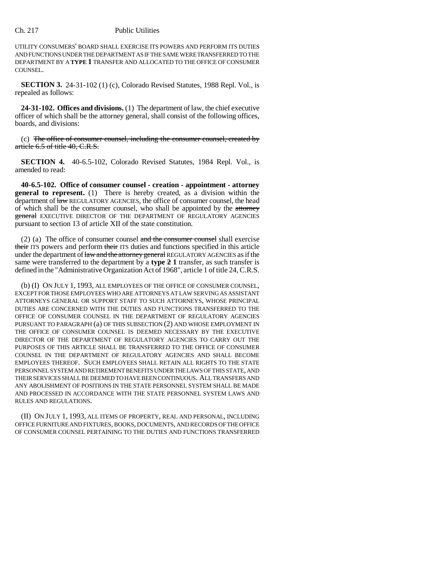## Ch. 217 Public Utilities

UTILITY CONSUMERS' BOARD SHALL EXERCISE ITS POWERS AND PERFORM ITS DUTIES AND FUNCTIONS UNDER THE DEPARTMENT AS IF THE SAME WERE TRANSFERRED TO THE DEPARTMENT BY A **TYPE 1** TRANSFER AND ALLOCATED TO THE OFFICE OF CONSUMER COUNSEL.

**SECTION 3.** 24-31-102 (1) (c), Colorado Revised Statutes, 1988 Repl. Vol., is repealed as follows:

**24-31-102. Offices and divisions.** (1) The department of law, the chief executive officer of which shall be the attorney general, shall consist of the following offices, boards, and divisions:

(c) The office of consumer counsel, including the consumer counsel, created by article 6.5 of title 40, C.R.S.

**SECTION 4.** 40-6.5-102, Colorado Revised Statutes, 1984 Repl. Vol., is amended to read:

**40-6.5-102. Office of consumer counsel - creation - appointment - attorney general to represent.** (1) There is hereby created, as a division within the department of  $\frac{1}{2}$  REGULATORY AGENCIES, the office of consumer counsel, the head of which shall be the consumer counsel, who shall be appointed by the attorney general EXECUTIVE DIRECTOR OF THE DEPARTMENT OF REGULATORY AGENCIES pursuant to section 13 of article XII of the state constitution.

(2) (a) The office of consumer counsel  $\theta$  and the consumer counsel shall exercise their ITS powers and perform their ITS duties and functions specified in this article under the department of law and the attorney general REGULATORY AGENCIES as if the same were transferred to the department by a **type 2 1** transfer, as such transfer is defined in the "Administrative Organization Act of 1968", article 1 of title 24, C.R.S.

(b) (I) ON JULY 1, 1993, ALL EMPLOYEES OF THE OFFICE OF CONSUMER COUNSEL, EXCEPT FOR THOSE EMPLOYEES WHO ARE ATTORNEYS AT LAW SERVING AS ASSISTANT ATTORNEYS GENERAL OR SUPPORT STAFF TO SUCH ATTORNEYS, WHOSE PRINCIPAL DUTIES ARE CONCERNED WITH THE DUTIES AND FUNCTIONS TRANSFERRED TO THE OFFICE OF CONSUMER COUNSEL IN THE DEPARTMENT OF REGULATORY AGENCIES PURSUANT TO PARAGRAPH (a) OF THIS SUBSECTION (2) AND WHOSE EMPLOYMENT IN THE OFFICE OF CONSUMER COUNSEL IS DEEMED NECESSARY BY THE EXECUTIVE DIRECTOR OF THE DEPARTMENT OF REGULATORY AGENCIES TO CARRY OUT THE PURPOSES OF THIS ARTICLE SHALL BE TRANSFERRED TO THE OFFICE OF CONSUMER COUNSEL IN THE DEPARTMENT OF REGULATORY AGENCIES AND SHALL BECOME EMPLOYEES THEREOF. SUCH EMPLOYEES SHALL RETAIN ALL RIGHTS TO THE STATE PERSONNEL SYSTEM AND RETIREMENT BENEFITS UNDER THE LAWS OF THIS STATE, AND THEIR SERVICES SHALL BE DEEMED TO HAVE BEEN CONTINUOUS. ALL TRANSFERS AND ANY ABOLISHMENT OF POSITIONS IN THE STATE PERSONNEL SYSTEM SHALL BE MADE AND PROCESSED IN ACCORDANCE WITH THE STATE PERSONNEL SYSTEM LAWS AND RULES AND REGULATIONS.

(II) ON JULY 1, 1993, ALL ITEMS OF PROPERTY, REAL AND PERSONAL, INCLUDING OFFICE FURNITURE AND FIXTURES, BOOKS, DOCUMENTS, AND RECORDS OF THE OFFICE OF CONSUMER COUNSEL PERTAINING TO THE DUTIES AND FUNCTIONS TRANSFERRED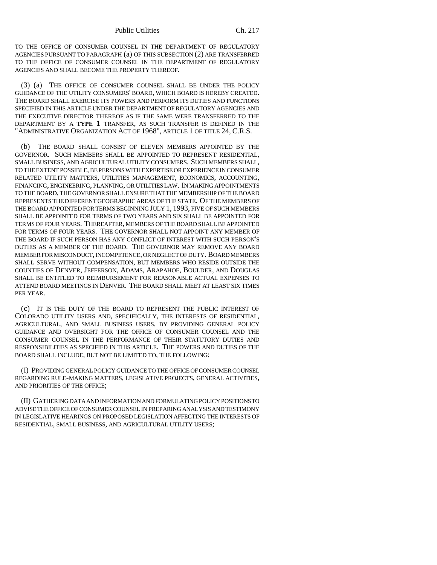TO THE OFFICE OF CONSUMER COUNSEL IN THE DEPARTMENT OF REGULATORY AGENCIES PURSUANT TO PARAGRAPH (a) OF THIS SUBSECTION (2) ARE TRANSFERRED TO THE OFFICE OF CONSUMER COUNSEL IN THE DEPARTMENT OF REGULATORY AGENCIES AND SHALL BECOME THE PROPERTY THEREOF.

(3) (a) THE OFFICE OF CONSUMER COUNSEL SHALL BE UNDER THE POLICY GUIDANCE OF THE UTILITY CONSUMERS' BOARD, WHICH BOARD IS HEREBY CREATED. THE BOARD SHALL EXERCISE ITS POWERS AND PERFORM ITS DUTIES AND FUNCTIONS SPECIFIED IN THIS ARTICLE UNDER THE DEPARTMENT OF REGULATORY AGENCIES AND THE EXECUTIVE DIRECTOR THEREOF AS IF THE SAME WERE TRANSFERRED TO THE DEPARTMENT BY A **TYPE 1** TRANSFER, AS SUCH TRANSFER IS DEFINED IN THE "ADMINISTRATIVE ORGANIZATION ACT OF 1968", ARTICLE 1 OF TITLE 24, C.R.S.

(b) THE BOARD SHALL CONSIST OF ELEVEN MEMBERS APPOINTED BY THE GOVERNOR. SUCH MEMBERS SHALL BE APPOINTED TO REPRESENT RESIDENTIAL, SMALL BUSINESS, AND AGRICULTURAL UTILITY CONSUMERS. SUCH MEMBERS SHALL, TO THE EXTENT POSSIBLE, BE PERSONS WITH EXPERTISE OR EXPERIENCE IN CONSUMER RELATED UTILITY MATTERS, UTILITIES MANAGEMENT, ECONOMICS, ACCOUNTING, FINANCING, ENGINEERING, PLANNING, OR UTILITIES LAW. IN MAKING APPOINTMENTS TO THE BOARD, THE GOVERNOR SHALL ENSURE THAT THE MEMBERSHIP OF THE BOARD REPRESENTS THE DIFFERENT GEOGRAPHIC AREAS OF THE STATE. OF THE MEMBERS OF THE BOARD APPOINTED FOR TERMS BEGINNING JULY 1, 1993, FIVE OF SUCH MEMBERS SHALL BE APPOINTED FOR TERMS OF TWO YEARS AND SIX SHALL BE APPOINTED FOR TERMS OF FOUR YEARS. THEREAFTER, MEMBERS OF THE BOARD SHALL BE APPOINTED FOR TERMS OF FOUR YEARS. THE GOVERNOR SHALL NOT APPOINT ANY MEMBER OF THE BOARD IF SUCH PERSON HAS ANY CONFLICT OF INTEREST WITH SUCH PERSON'S DUTIES AS A MEMBER OF THE BOARD. THE GOVERNOR MAY REMOVE ANY BOARD MEMBER FOR MISCONDUCT, INCOMPETENCE, OR NEGLECT OF DUTY. BOARD MEMBERS SHALL SERVE WITHOUT COMPENSATION, BUT MEMBERS WHO RESIDE OUTSIDE THE COUNTIES OF DENVER, JEFFERSON, ADAMS, ARAPAHOE, BOULDER, AND DOUGLAS SHALL BE ENTITLED TO REIMBURSEMENT FOR REASONABLE ACTUAL EXPENSES TO ATTEND BOARD MEETINGS IN DENVER. THE BOARD SHALL MEET AT LEAST SIX TIMES PER YEAR.

(c) IT IS THE DUTY OF THE BOARD TO REPRESENT THE PUBLIC INTEREST OF COLORADO UTILITY USERS AND, SPECIFICALLY, THE INTERESTS OF RESIDENTIAL, AGRICULTURAL, AND SMALL BUSINESS USERS, BY PROVIDING GENERAL POLICY GUIDANCE AND OVERSIGHT FOR THE OFFICE OF CONSUMER COUNSEL AND THE CONSUMER COUNSEL IN THE PERFORMANCE OF THEIR STATUTORY DUTIES AND RESPONSIBILITIES AS SPECIFIED IN THIS ARTICLE. THE POWERS AND DUTIES OF THE BOARD SHALL INCLUDE, BUT NOT BE LIMITED TO, THE FOLLOWING:

(I) PROVIDING GENERAL POLICY GUIDANCE TO THE OFFICE OF CONSUMER COUNSEL REGARDING RULE-MAKING MATTERS, LEGISLATIVE PROJECTS, GENERAL ACTIVITIES, AND PRIORITIES OF THE OFFICE;

(II) GATHERING DATA AND INFORMATION AND FORMULATING POLICY POSITIONS TO ADVISE THE OFFICE OF CONSUMER COUNSEL IN PREPARING ANALYSIS AND TESTIMONY IN LEGISLATIVE HEARINGS ON PROPOSED LEGISLATION AFFECTING THE INTERESTS OF RESIDENTIAL, SMALL BUSINESS, AND AGRICULTURAL UTILITY USERS;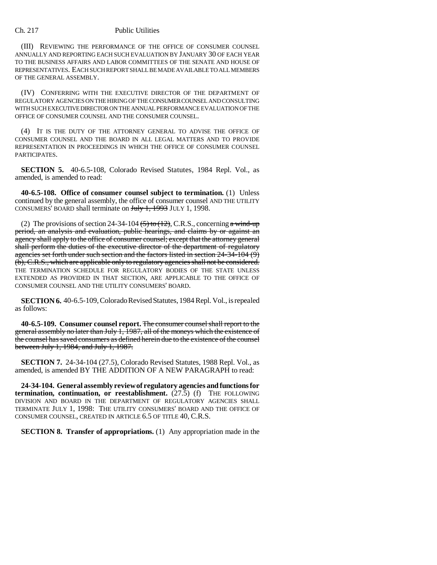## Ch. 217 Public Utilities

(III) REVIEWING THE PERFORMANCE OF THE OFFICE OF CONSUMER COUNSEL ANNUALLY AND REPORTING EACH SUCH EVALUATION BY JANUARY 30 OF EACH YEAR TO THE BUSINESS AFFAIRS AND LABOR COMMITTEES OF THE SENATE AND HOUSE OF REPRESENTATIVES. EACH SUCH REPORT SHALL BE MADE AVAILABLE TO ALL MEMBERS OF THE GENERAL ASSEMBLY.

(IV) CONFERRING WITH THE EXECUTIVE DIRECTOR OF THE DEPARTMENT OF REGULATORY AGENCIES ON THE HIRING OF THE CONSUMER COUNSEL AND CONSULTING WITH SUCH EXECUTIVE DIRECTOR ON THE ANNUAL PERFORMANCE EVALUATION OF THE OFFICE OF CONSUMER COUNSEL AND THE CONSUMER COUNSEL.

(4) IT IS THE DUTY OF THE ATTORNEY GENERAL TO ADVISE THE OFFICE OF CONSUMER COUNSEL AND THE BOARD IN ALL LEGAL MATTERS AND TO PROVIDE REPRESENTATION IN PROCEEDINGS IN WHICH THE OFFICE OF CONSUMER COUNSEL PARTICIPATES.

**SECTION 5.** 40-6.5-108, Colorado Revised Statutes, 1984 Repl. Vol., as amended, is amended to read:

**40-6.5-108. Office of consumer counsel subject to termination.** (1) Unless continued by the general assembly, the office of consumer counsel AND THE UTILITY CONSUMERS' BOARD shall terminate on Huly 1, 1993 JULY 1, 1998.

(2) The provisions of section 24-34-104  $\left(5\right)$  to  $\left(12\right)$ , C.R.S., concerning a wind-up period, an analysis and evaluation, public hearings, and claims by or against an agency shall apply to the office of consumer counsel; except that the attorney general shall perform the duties of the executive director of the department of regulatory agencies set forth under such section and the factors listed in section 24-34-104 (9) (b), C.R.S., which are applicable only to regulatory agencies shall not be considered. THE TERMINATION SCHEDULE FOR REGULATORY BODIES OF THE STATE UNLESS EXTENDED AS PROVIDED IN THAT SECTION, ARE APPLICABLE TO THE OFFICE OF CONSUMER COUNSEL AND THE UTILITY CONSUMERS' BOARD.

**SECTION 6.** 40-6.5-109, Colorado Revised Statutes, 1984 Repl. Vol., is repealed as follows:

**40-6.5-109. Consumer counsel report.** The consumer counsel shall report to the general assembly no later than July 1, 1987, all of the moneys which the existence of the counsel has saved consumers as defined herein due to the existence of the counsel between July 1, 1984, and July 1, 1987.

**SECTION 7.** 24-34-104 (27.5), Colorado Revised Statutes, 1988 Repl. Vol., as amended, is amended BY THE ADDITION OF A NEW PARAGRAPH to read:

**24-34-104. General assembly review of regulatory agencies and functions for termination, continuation, or reestablishment.** (27.5) (f) THE FOLLOWING DIVISION AND BOARD IN THE DEPARTMENT OF REGULATORY AGENCIES SHALL TERMINATE JULY 1, 1998: THE UTILITY CONSUMERS' BOARD AND THE OFFICE OF CONSUMER COUNSEL, CREATED IN ARTICLE 6.5 OF TITLE 40, C.R.S.

**SECTION 8. Transfer of appropriations.** (1) Any appropriation made in the